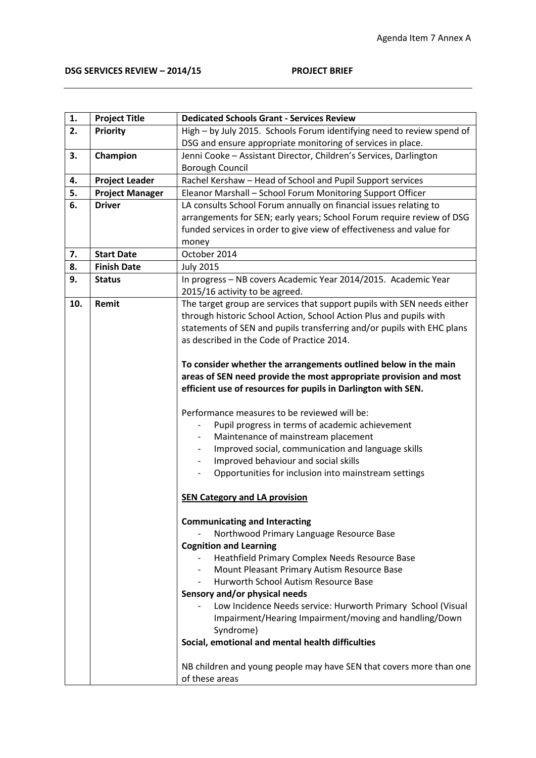| 1.  | <b>Project Title</b>   | <b>Dedicated Schools Grant - Services Review</b>                        |
|-----|------------------------|-------------------------------------------------------------------------|
| 2.  | Priority               | High - by July 2015. Schools Forum identifying need to review spend of  |
|     |                        | DSG and ensure appropriate monitoring of services in place.             |
| 3.  | Champion               | Jenni Cooke - Assistant Director, Children's Services, Darlington       |
|     |                        | <b>Borough Council</b>                                                  |
| 4.  | <b>Project Leader</b>  | Rachel Kershaw - Head of School and Pupil Support services              |
| 5.  | <b>Project Manager</b> | Eleanor Marshall - School Forum Monitoring Support Officer              |
| 6.  | <b>Driver</b>          | LA consults School Forum annually on financial issues relating to       |
|     |                        | arrangements for SEN; early years; School Forum require review of DSG   |
|     |                        | funded services in order to give view of effectiveness and value for    |
|     |                        | money                                                                   |
| 7.  | <b>Start Date</b>      | October 2014                                                            |
| 8.  | <b>Finish Date</b>     | <b>July 2015</b>                                                        |
| 9.  | <b>Status</b>          | In progress - NB covers Academic Year 2014/2015. Academic Year          |
|     |                        | 2015/16 activity to be agreed.                                          |
| 10. | Remit                  | The target group are services that support pupils with SEN needs either |
|     |                        | through historic School Action, School Action Plus and pupils with      |
|     |                        | statements of SEN and pupils transferring and/or pupils with EHC plans  |
|     |                        | as described in the Code of Practice 2014.                              |
|     |                        |                                                                         |
|     |                        | To consider whether the arrangements outlined below in the main         |
|     |                        | areas of SEN need provide the most appropriate provision and most       |
|     |                        | efficient use of resources for pupils in Darlington with SEN.           |
|     |                        |                                                                         |
|     |                        | Performance measures to be reviewed will be:                            |
|     |                        | Pupil progress in terms of academic achievement                         |
|     |                        | Maintenance of mainstream placement                                     |
|     |                        | Improved social, communication and language skills                      |
|     |                        | Improved behaviour and social skills                                    |
|     |                        | Opportunities for inclusion into mainstream settings                    |
|     |                        |                                                                         |
|     |                        | <b>SEN Category and LA provision</b>                                    |
|     |                        |                                                                         |
|     |                        | <b>Communicating and Interacting</b>                                    |
|     |                        | Northwood Primary Language Resource Base                                |
|     |                        | <b>Cognition and Learning</b>                                           |
|     |                        | Heathfield Primary Complex Needs Resource Base                          |
|     |                        | Mount Pleasant Primary Autism Resource Base                             |
|     |                        | Hurworth School Autism Resource Base                                    |
|     |                        | Sensory and/or physical needs                                           |
|     |                        | Low Incidence Needs service: Hurworth Primary School (Visual            |
|     |                        | Impairment/Hearing Impairment/moving and handling/Down                  |
|     |                        | Syndrome)                                                               |
|     |                        | Social, emotional and mental health difficulties                        |
|     |                        |                                                                         |
|     |                        | NB children and young people may have SEN that covers more than one     |
|     |                        | of these areas                                                          |